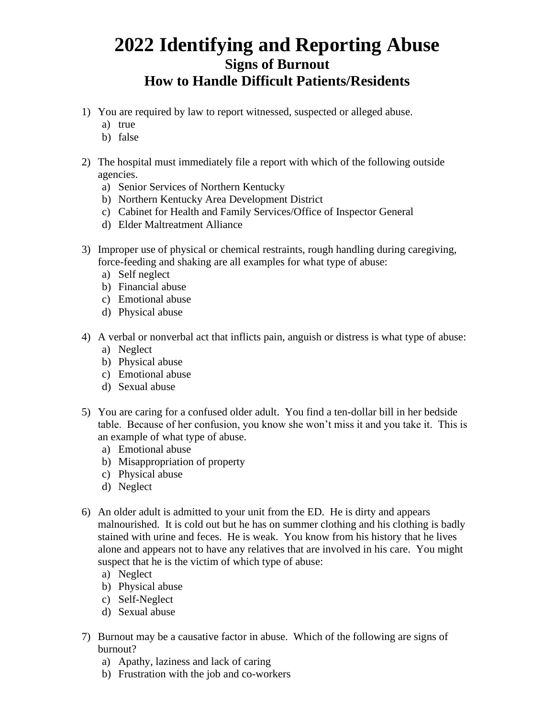## **2022 Identifying and Reporting Abuse Signs of Burnout How to Handle Difficult Patients/Residents**

- 1) You are required by law to report witnessed, suspected or alleged abuse.
	- a) true
	- b) false
- 2) The hospital must immediately file a report with which of the following outside agencies.
	- a) Senior Services of Northern Kentucky
	- b) Northern Kentucky Area Development District
	- c) Cabinet for Health and Family Services/Office of Inspector General
	- d) Elder Maltreatment Alliance
- 3) Improper use of physical or chemical restraints, rough handling during caregiving, force-feeding and shaking are all examples for what type of abuse:
	- a) Self neglect
	- b) Financial abuse
	- c) Emotional abuse
	- d) Physical abuse
- 4) A verbal or nonverbal act that inflicts pain, anguish or distress is what type of abuse:
	- a) Neglect
	- b) Physical abuse
	- c) Emotional abuse
	- d) Sexual abuse
- 5) You are caring for a confused older adult. You find a ten-dollar bill in her bedside table. Because of her confusion, you know she won't miss it and you take it. This is an example of what type of abuse.
	- a) Emotional abuse
	- b) Misappropriation of property
	- c) Physical abuse
	- d) Neglect
- 6) An older adult is admitted to your unit from the ED. He is dirty and appears malnourished. It is cold out but he has on summer clothing and his clothing is badly stained with urine and feces. He is weak. You know from his history that he lives alone and appears not to have any relatives that are involved in his care. You might suspect that he is the victim of which type of abuse:
	- a) Neglect
	- b) Physical abuse
	- c) Self-Neglect
	- d) Sexual abuse
- 7) Burnout may be a causative factor in abuse. Which of the following are signs of burnout?
	- a) Apathy, laziness and lack of caring
	- b) Frustration with the job and co-workers